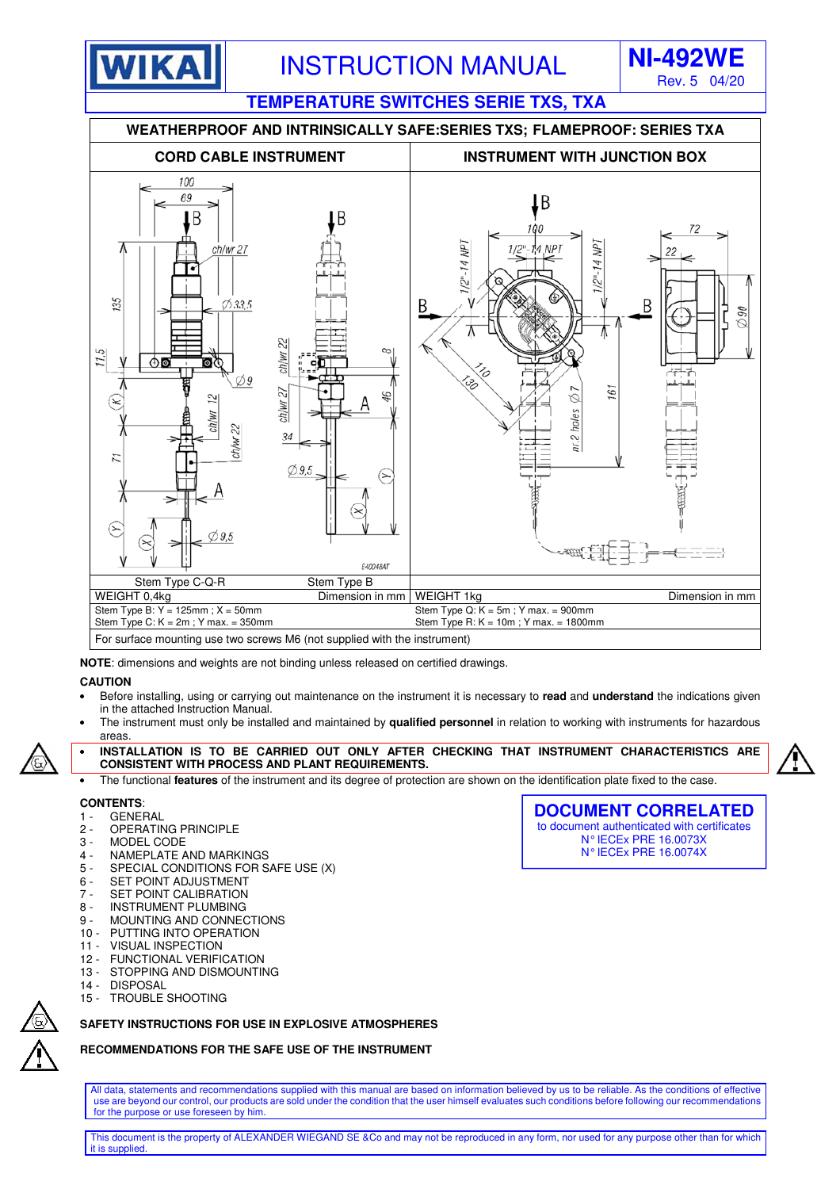

**TEMPERATURE SWITCHES SERIE TXS, TXA** 



**NOTE**: dimensions and weights are not binding unless released on certified drawings.

## **CAUTION**

- Before installing, using or carrying out maintenance on the instrument it is necessary to **read** and **understand** the indications given in the attached Instruction Manual.
- The instrument must only be installed and maintained by **qualified personnel** in relation to working with instruments for hazardous areas.



- **INSTALLATION IS TO BE CARRIED OUT ONLY AFTER CHECKING THAT INSTRUMENT CHARACTERISTICS ARE CONSISTENT WITH PROCESS AND PLANT REQUIREMENTS.**
- The functional **features** of the instrument and its degree of protection are shown on the identification plate fixed to the case.

#### **CONTENTS**:

- 1 GENERAL
- 2 OPERATING PRINCIPLE
- 3 MODEL CODE<br>4 NAMEPLATE A
- NAMEPLATE AND MARKINGS
- 5 SPECIAL CONDITIONS FOR SAFE USE (X)
- 6 SET POINT ADJUSTMENT
- 7 SET POINT CALIBRATION
- 8 INSTRUMENT PLUMBING<br>9 MOUNTING AND CONNEC
- MOUNTING AND CONNECTIONS
- 10 PUTTING INTO OPERATION
- 11 VISUAL INSPECTION
- 12 FUNCTIONAL VERIFICATION 13 - STOPPING AND DISMOUNTING
- 14 DISPOSAL
- 15 TROUBLE SHOOTING

## **SAFETY INSTRUCTIONS FOR USE IN EXPLOSIVE ATMOSPHERES**

## **RECOMMENDATIONS FOR THE SAFE USE OF THE INSTRUMENT**

All data, statements and recommendations supplied with this manual are based on information believed by us to be reliable. As the conditions of effective use are beyond our control, our products are sold under the condition that the user himself evaluates such conditions before following our recommendations for the purpose or use foreseen by him.

This document is the property of ALEXANDER WIEGAND SE &Co and may not be reproduced in any form, nor used for any purpose other than for which it is supplied.



**DOCUMENT CORRELATED**  to document authenticated with certificates N° IECEx PRE 16.0073X N° IECEx PRE 16.0074X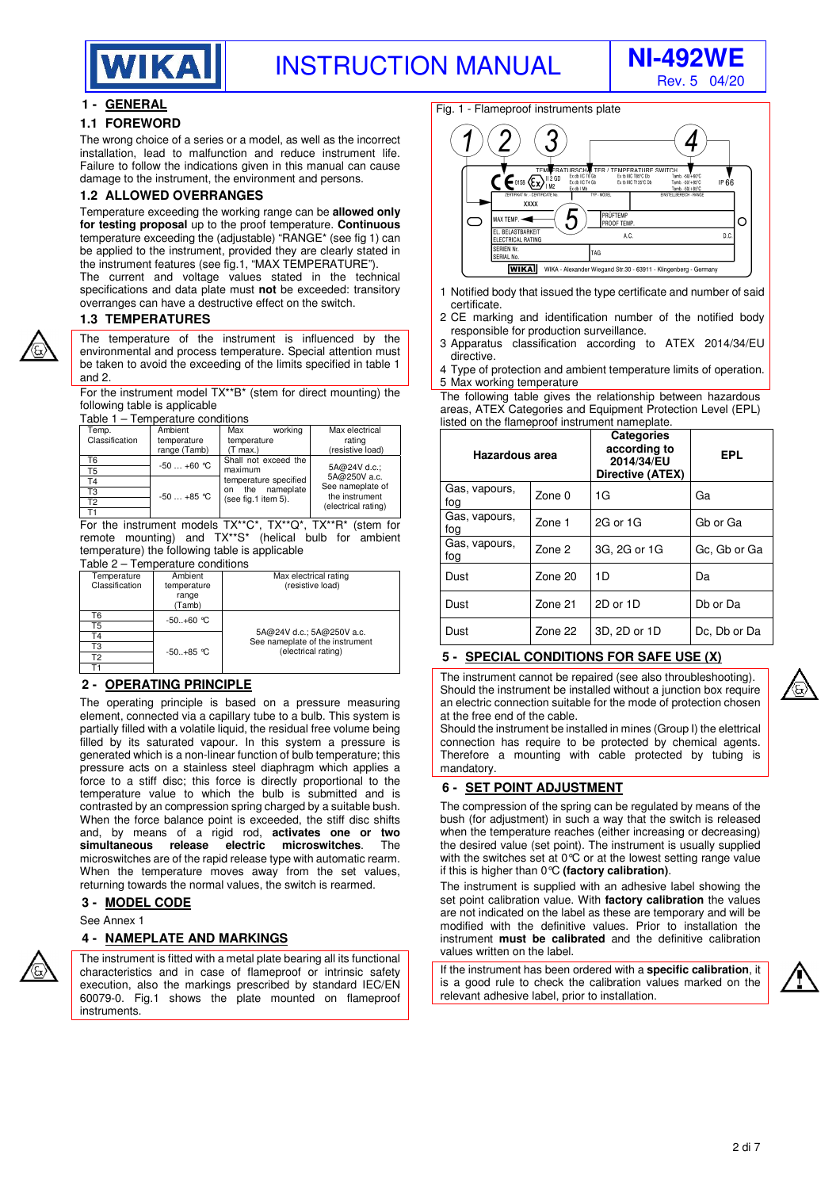

Rev. 5 04/20

## **1 - GENERAL**

#### **1.1 FOREWORD**

The wrong choice of a series or a model, as well as the incorrect installation, lead to malfunction and reduce instrument life. Failure to follow the indications given in this manual can cause damage to the instrument, the environment and persons.

#### **1.2 ALLOWED OVERRANGES**

Temperature exceeding the working range can be **allowed only for testing proposal** up to the proof temperature. **Continuous** temperature exceeding the (adjustable) "RANGE\* (see fig 1) can be applied to the instrument, provided they are clearly stated in the instrument features (see fig.1, "MAX TEMPERATURE").

The current and voltage values stated in the technical specifications and data plate must **not** be exceeded: transitory overranges can have a destructive effect on the switch.

#### **1.3 TEMPERATURES**

The temperature of the instrument is influenced by the environmental and process temperature. Special attention must be taken to avoid the exceeding of the limits specified in table 1 and 2.

For the instrument model TX\*\*B\* (stem for direct mounting) the following table is applicable

Table 1 – Temperature conditions

| Temp.<br>Classification | Ambient<br>temperature | working<br>Max<br>temperature              | Max electrical<br>rating              |
|-------------------------|------------------------|--------------------------------------------|---------------------------------------|
|                         | range (Tamb)           | (T max.)                                   | (resistive load)                      |
| T6                      | $-50+60$ °C            | Shall not exceed the                       |                                       |
| T5                      |                        | maximum                                    | 5A@24V d.c.;                          |
| Γ4                      |                        | temperature specified                      | 5A@250V a.c.<br>See nameplate of      |
| TЗ                      | $-50+85$ °C            | the nameplate<br>on<br>(see fig.1 item 5). | the instrument<br>(electrical rating) |
| Т2                      |                        |                                            |                                       |
|                         |                        |                                            |                                       |

T1 For the instrument models TX\*\*C\*, TX\*\*Q\*, TX\*\*R\* (stem for remote mounting) and TX\*\*S\* (helical bulb for ambient temperature) the following table is applicable

#### Table 2 – Temperature conditions

| Temperature<br>Classification | Ambient<br>temperature<br>range<br>(Tamb) | Max electrical rating<br>(resistive load)                    |
|-------------------------------|-------------------------------------------|--------------------------------------------------------------|
| Т6                            | $-50+60 °C$                               |                                                              |
| Τ5                            |                                           |                                                              |
| Τ4                            |                                           | 5A@24V d.c.; 5A@250V a.c.<br>See nameplate of the instrument |
| TЗ                            | $-50+85 °C$                               | (electrical rating)                                          |
| T2                            |                                           |                                                              |
|                               |                                           |                                                              |

#### **2 - OPERATING PRINCIPLE**

The operating principle is based on a pressure measuring element, connected via a capillary tube to a bulb. This system is partially filled with a volatile liquid, the residual free volume being filled by its saturated vapour. In this system a pressure is generated which is a non-linear function of bulb temperature; this pressure acts on a stainless steel diaphragm which applies a force to a stiff disc; this force is directly proportional to the temperature value to which the bulb is submitted and is contrasted by an compression spring charged by a suitable bush. When the force balance point is exceeded, the stiff disc shifts and, by means of a rigid rod, **activates one or two simultaneous release electric microswitches**. The microswitches are of the rapid release type with automatic rearm. When the temperature moves away from the set values, returning towards the normal values, the switch is rearmed.

## **3 - MODEL CODE**

See Annex 1

#### **4 - NAMEPLATE AND MARKINGS**

The instrument is fitted with a metal plate bearing all its functional characteristics and in case of flameproof or intrinsic safety execution, also the markings prescribed by standard IEC/EN 60079-0. Fig.1 shows the plate mounted on flameproof **instruments** 

#### Fig. 1 - Flameproof instruments plate



- 1 Notified body that issued the type certificate and number of said certificate.
- 2 CE marking and identification number of the notified body responsible for production surveillance.
- 3 Apparatus classification according to ATEX 2014/34/EU directive.
- 4 Type of protection and ambient temperature limits of operation. 5 Max working temperature

The following table gives the relationship between hazardous areas, ATEX Categories and Equipment Protection Level (EPL) listed on the flameproof instrument nameplate.

**Categories** 

| <b>Hazardous area</b> |         | <b>Calegories</b><br>according to<br>2014/34/EU<br>Directive (ATEX) | <b>EPL</b>   |
|-----------------------|---------|---------------------------------------------------------------------|--------------|
| Gas, vapours,<br>fog  | Zone 0  | 1G                                                                  | Gа           |
| Gas, vapours,<br>foq  | Zone 1  | 2G or 1G                                                            | Gb or Ga     |
| Gas, vapours,<br>fog  | Zone 2  | 3G, 2G or 1G                                                        | Gc, Gb or Ga |
| Dust                  | Zone 20 | 1D                                                                  | Da           |
| Dust                  | Zone 21 | 2D or 1D                                                            | Db or Da     |
| Dust                  | Zone 22 | 3D, 2D or 1D                                                        | Dc, Db or Da |

## **5 - SPECIAL CONDITIONS FOR SAFE USE (X)**

The instrument cannot be repaired (see also throubleshooting). Should the instrument be installed without a junction box require an electric connection suitable for the mode of protection chosen at the free end of the cable.

Should the instrument be installed in mines (Group I) the elettrical connection has require to be protected by chemical agents. Therefore a mounting with cable protected by tubing is mandatory.

## **6 - SET POINT ADJUSTMENT**

The compression of the spring can be regulated by means of the bush (for adjustment) in such a way that the switch is released when the temperature reaches (either increasing or decreasing) the desired value (set point). The instrument is usually supplied with the switches set at 0°C or at the lowest setting range value if this is higher than 0°C **(factory calibration)**.

The instrument is supplied with an adhesive label showing the set point calibration value. With **factory calibration** the values are not indicated on the label as these are temporary and will be modified with the definitive values. Prior to installation the instrument **must be calibrated** and the definitive calibration values written on the label.

If the instrument has been ordered with a **specific calibration**, it is a good rule to check the calibration values marked on the relevant adhesive label, prior to installation.



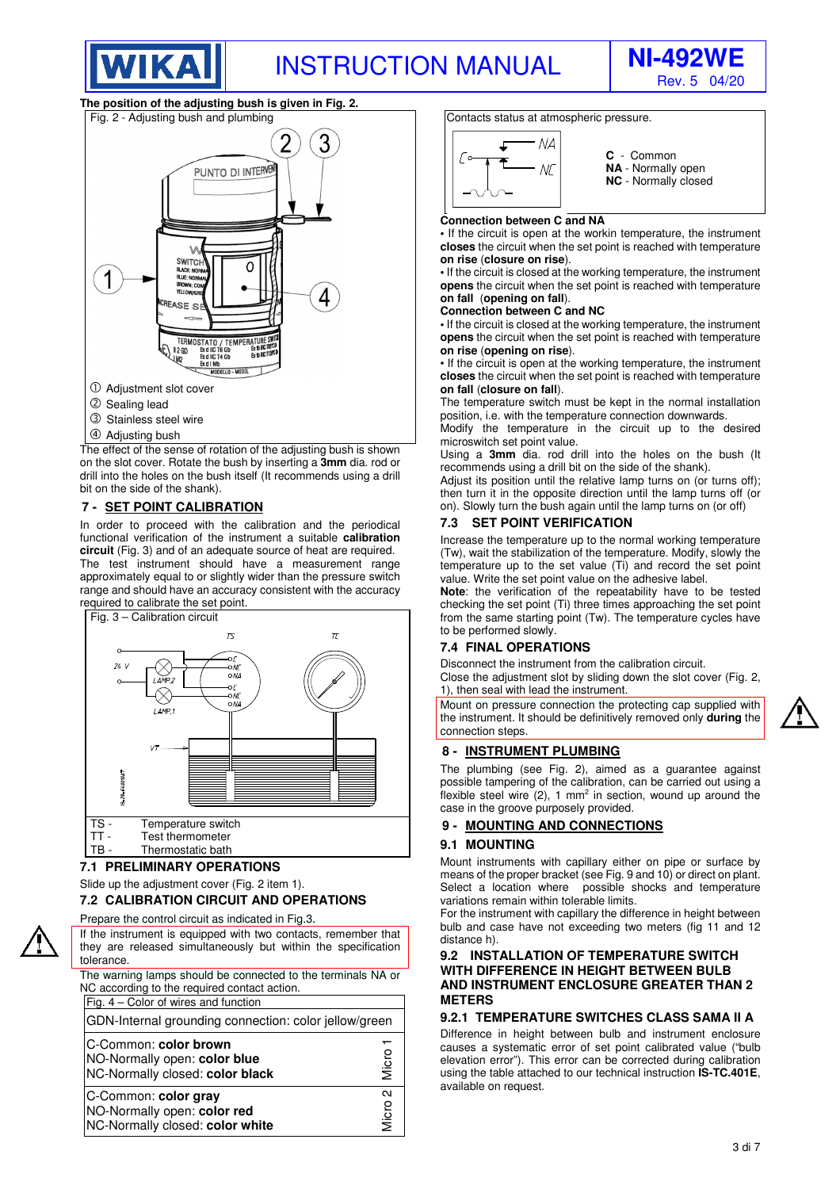



#### **The position of the adjusting bush is given in Fig. 2.**



- 
- Adjusting bush

The effect of the sense of rotation of the adjusting bush is shown on the slot cover. Rotate the bush by inserting a **3mm** dia. rod or drill into the holes on the bush itself (It recommends using a drill bit on the side of the shank).

#### **7 - SET POINT CALIBRATION**

In order to proceed with the calibration and the periodical functional verification of the instrument a suitable **calibration circuit** (Fig. 3) and of an adequate source of heat are required. The test instrument should have a measurement range approximately equal to or slightly wider than the pressure switch range and should have an accuracy consistent with the accuracy required to calibrate the set point.





#### **7.1 PRELIMINARY OPERATIONS**

Slide up the adjustment cover (Fig. 2 item 1).

## **7.2 CALIBRATION CIRCUIT AND OPERATIONS**

Prepare the control circuit as indicated in Fig.3.

If the instrument is equipped with two contacts, remember that they are released simultaneously but within the specification tolerance. The warning lamps should be connected to the terminals NA or NC according to the required contact action Fig. 4 – Color of wires and function

GDN-Internal grounding connection: color jellow/green

| Micro           |
|-----------------|
| $\sim$<br>Micro |
|                 |

Contacts status at atmospheric pressure.



**C** - Common **NA** - Normally open **NC** - Normally closed

#### **Connection between C and NA**

**•** If the circuit is open at the workin temperature, the instrument **closes** the circuit when the set point is reached with temperature **on rise** (**closure on rise**).

**•** If the circuit is closed at the working temperature, the instrument **opens** the circuit when the set point is reached with temperature **on fall** (**opening on fall**).

#### **Connection between C and NC**

**•** If the circuit is closed at the working temperature, the instrument **opens** the circuit when the set point is reached with temperature **on rise** (**opening on rise**).

• If the circuit is open at the working temperature, the instrument **closes** the circuit when the set point is reached with temperature **on fall** (**closure on fall**).

The temperature switch must be kept in the normal installation position, i.e. with the temperature connection downwards.

Modify the temperature in the circuit up to the desired microswitch set point value.

Using a **3mm** dia. rod drill into the holes on the bush (It recommends using a drill bit on the side of the shank).

Adjust its position until the relative lamp turns on (or turns off); then turn it in the opposite direction until the lamp turns off (or on). Slowly turn the bush again until the lamp turns on (or off)

#### **7.3 SET POINT VERIFICATION**

Increase the temperature up to the normal working temperature (Tw), wait the stabilization of the temperature. Modify, slowly the temperature up to the set value (Ti) and record the set point value. Write the set point value on the adhesive label.

**Note**: the verification of the repeatability have to be tested checking the set point (Ti) three times approaching the set point from the same starting point (Tw). The temperature cycles have to be performed slowly.

#### **7.4 FINAL OPERATIONS**

Disconnect the instrument from the calibration circuit.

Close the adjustment slot by sliding down the slot cover (Fig. 2, 1), then seal with lead the instrument.

Mount on pressure connection the protecting cap supplied with the instrument. It should be definitively removed only **during** the connection steps.

#### **8 - INSTRUMENT PLUMBING**

The plumbing (see Fig. 2), aimed as a guarantee against possible tampering of the calibration, can be carried out using a flexible steel wire  $(2)$ , 1 mm<sup>2</sup> in section, wound up around the case in the groove purposely provided.

#### **9 - MOUNTING AND CONNECTIONS**

#### **9.1 MOUNTING**

Mount instruments with capillary either on pipe or surface by means of the proper bracket (see Fig. 9 and 10) or direct on plant. Select a location where possible shocks and temperature variations remain within tolerable limits.

For the instrument with capillary the difference in height between bulb and case have not exceeding two meters (fig 11 and 12 distance h).

#### **9.2 INSTALLATION OF TEMPERATURE SWITCH WITH DIFFERENCE IN HEIGHT BETWEEN BULB AND INSTRUMENT ENCLOSURE GREATER THAN 2 METERS**

#### **9.2.1 TEMPERATURE SWITCHES CLASS SAMA II A**

Difference in height between bulb and instrument enclosure causes a systematic error of set point calibrated value ("bulb elevation error"). This error can be corrected during calibration using the table attached to our technical instruction **IS-TC.401E**, available on request.

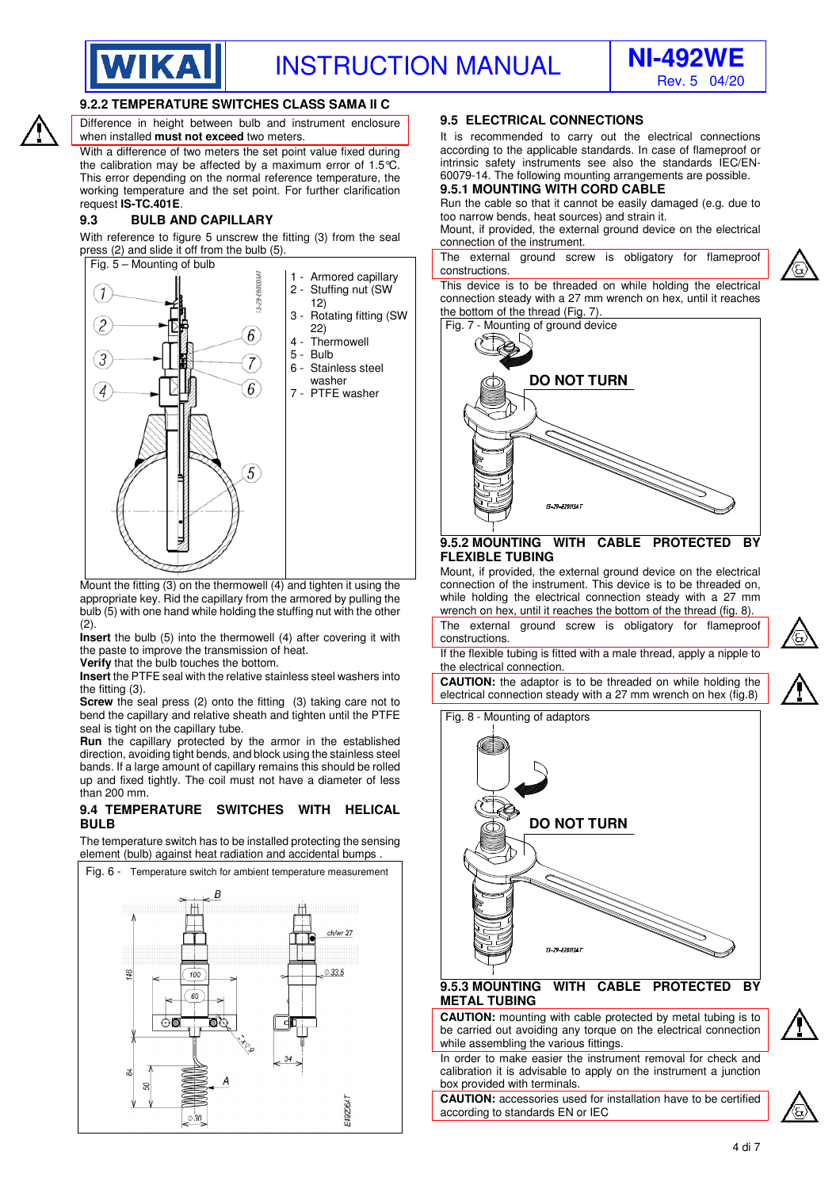



## **9.2.2 TEMPERATURE SWITCHES CLASS SAMA II C**

Difference in height between bulb and instrument enclosure when installed **must not exceed** two meters.

With a difference of two meters the set point value fixed during the calibration may be affected by a maximum error of 1.5°C. This error depending on the normal reference temperature, the working temperature and the set point. For further clarification request **IS-TC.401E**.

#### **9.3 BULB AND CAPILLARY**

With reference to figure 5 unscrew the fitting (3) from the seal press (2) and slide it off from the bulb (5).



Mount the fitting (3) on the thermowell (4) and tighten it using the appropriate key. Rid the capillary from the armored by pulling the bulb (5) with one hand while holding the stuffing nut with the other (2).

**Insert** the bulb (5) into the thermowell (4) after covering it with the paste to improve the transmission of heat.

**Verify** that the bulb touches the bottom.

**Insert** the PTFE seal with the relative stainless steel washers into the fitting (3).

**Screw** the seal press (2) onto the fitting (3) taking care not to bend the capillary and relative sheath and tighten until the PTFE seal is tight on the capillary tube.

**Run** the capillary protected by the armor in the established direction, avoiding tight bends, and block using the stainless steel bands. If a large amount of capillary remains this should be rolled up and fixed tightly. The coil must not have a diameter of less than 200 mm.

#### **9.4 TEMPERATURE SWITCHES WITH HELICAL BULB**

The temperature switch has to be installed protecting the sensing element (bulb) against heat radiation and accidental bumps .



## **9.5 ELECTRICAL CONNECTIONS**

It is recommended to carry out the electrical connections according to the applicable standards. In case of flameproof or intrinsic safety instruments see also the standards IEC/EN-60079-14. The following mounting arrangements are possible.

## **9.5.1 MOUNTING WITH CORD CABLE**

Run the cable so that it cannot be easily damaged (e.g. due to too narrow bends, heat sources) and strain it.

Mount, if provided, the external ground device on the electrical connection of the instrument.

The external ground screw is obligatory for flameproof constructions.

This device is to be threaded on while holding the electrical connection steady with a 27 mm wrench on hex, until it reaches the bottom of the thread (Fig. 7).



#### **9.5.2 MOUNTING WITH CABLE PROTECTED BY FLEXIBLE TUBING**

Mount, if provided, the external ground device on the electrical connection of the instrument. This device is to be threaded on, while holding the electrical connection steady with a 27 mm wrench on hex, until it reaches the bottom of the thread (fig. 8).

The external ground screw is obligatory for flameproof constructions.

If the flexible tubing is fitted with a male thread, apply a nipple to the electrical connection.

**CAUTION:** the adaptor is to be threaded on while holding the electrical connection steady with a 27 mm wrench on hex (fig.8)





**DO NOT TURN** 

## **9.5.3 MOUNTING WITH CABLE PROTECTED BY METAL TUBING**

**CAUTION:** mounting with cable protected by metal tubing is to be carried out avoiding any torque on the electrical connection while assembling the various fittings.

In order to make easier the instrument removal for check and calibration it is advisable to apply on the instrument a junction box provided with terminals.

**CAUTION:** accessories used for installation have to be certified according to standards EN or IEC

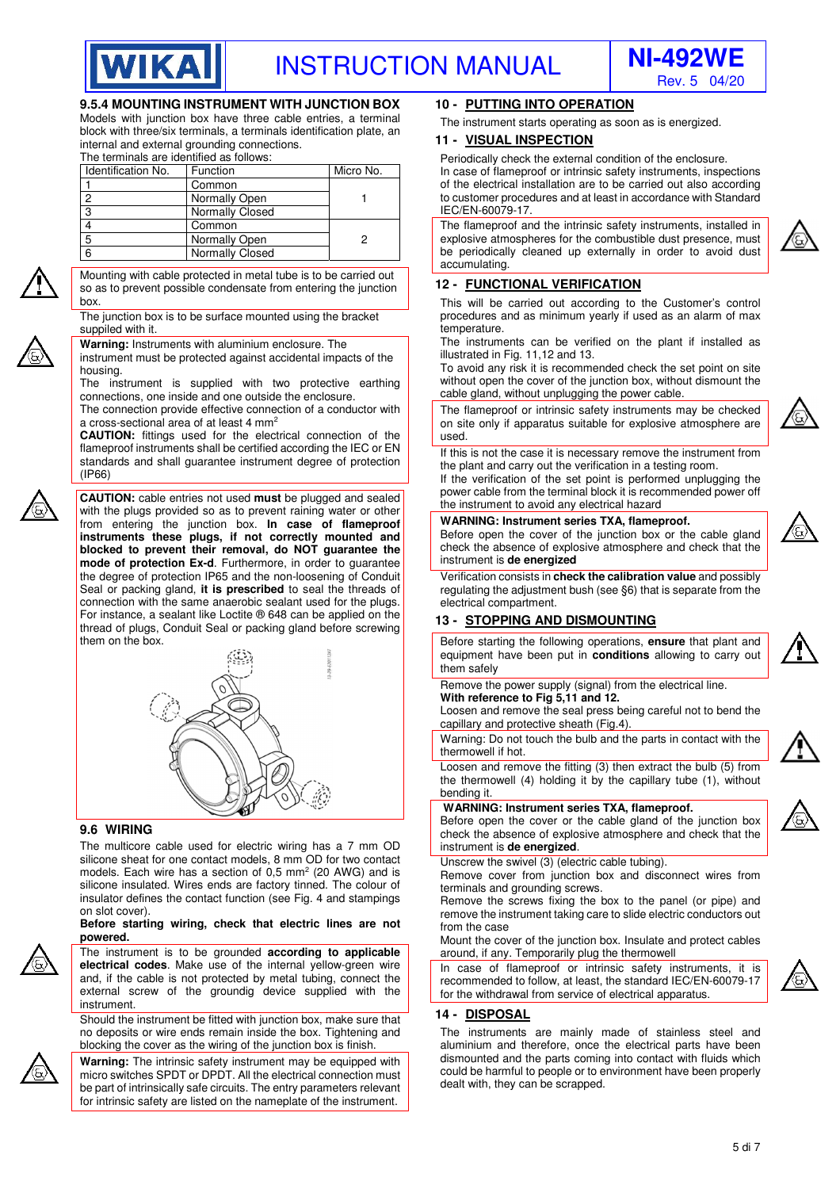



## **9.5.4 MOUNTING INSTRUMENT WITH JUNCTION BOX**

Models with junction box have three cable entries, a terminal block with three/six terminals, a terminals identification plate, an internal and external grounding connections.

The terminals are identified as follows:

| Identification No. | Function        | Micro No. |
|--------------------|-----------------|-----------|
|                    | Common          |           |
| 2                  | Normally Open   |           |
| 3                  | Normally Closed |           |
|                    | Common          |           |
| 5                  | Normally Open   |           |
| 6                  | Normally Closed |           |

Mounting with cable protected in metal tube is to be carried out so as to prevent possible condensate from entering the junction box.

The junction box is to be surface mounted using the bracket suppiled with it.

**Warning:** Instruments with aluminium enclosure. The

instrument must be protected against accidental impacts of the housing.

The instrument is supplied with two protective earthing connections, one inside and one outside the enclosure.

The connection provide effective connection of a conductor with a cross-sectional area of at least 4 mm2

**CAUTION:** fittings used for the electrical connection of the flameproof instruments shall be certified according the IEC or EN standards and shall guarantee instrument degree of protection (IP66)

**CAUTION:** cable entries not used **must** be plugged and sealed with the plugs provided so as to prevent raining water or other from entering the junction box. **In case of flameproof instruments these plugs, if not correctly mounted and blocked to prevent their removal, do NOT guarantee the mode of protection Ex-d**. Furthermore, in order to guarantee the degree of protection IP65 and the non-loosening of Conduit Seal or packing gland, **it is prescribed** to seal the threads of connection with the same anaerobic sealant used for the plugs. For instance, a sealant like Loctite ® 648 can be applied on the thread of plugs, Conduit Seal or packing gland before screwing them on the box.



#### **9.6 WIRING**

The multicore cable used for electric wiring has a 7 mm OD silicone sheat for one contact models, 8 mm OD for two contact models. Each wire has a section of  $0.5$  mm<sup>2</sup> (20 AWG) and is silicone insulated. Wires ends are factory tinned. The colour of insulator defines the contact function (see Fig. 4 and stampings on slot cover).

#### **Before starting wiring, check that electric lines are not powered.**

The instrument is to be grounded **according to applicable electrical codes**. Make use of the internal yellow-green wire and, if the cable is not protected by metal tubing, connect the external screw of the groundig device supplied with the instrument.

Should the instrument be fitted with junction box, make sure that no deposits or wire ends remain inside the box. Tightening and blocking the cover as the wiring of the junction box is finish

**Warning:** The intrinsic safety instrument may be equipped with micro switches SPDT or DPDT. All the electrical connection must be part of intrinsically safe circuits. The entry parameters relevant for intrinsic safety are listed on the nameplate of the instrument.

#### **10 - PUTTING INTO OPERATION**

The instrument starts operating as soon as is energized.

#### **11 - VISUAL INSPECTION**

Periodically check the external condition of the enclosure. In case of flameproof or intrinsic safety instruments, inspections of the electrical installation are to be carried out also according to customer procedures and at least in accordance with Standard IEC/EN-60079-17.

The flameproof and the intrinsic safety instruments, installed in explosive atmospheres for the combustible dust presence, must be periodically cleaned up externally in order to avoid dust accumulating.

## **12 - FUNCTIONAL VERIFICATION**

This will be carried out according to the Customer's control procedures and as minimum yearly if used as an alarm of max temperature.

The instruments can be verified on the plant if installed as illustrated in Fig. 11,12 and 13.

To avoid any risk it is recommended check the set point on site without open the cover of the junction box, without dismount the cable gland, without unplugging the power cable.

The flameproof or intrinsic safety instruments may be checked on site only if apparatus suitable for explosive atmosphere are used.

If this is not the case it is necessary remove the instrument from the plant and carry out the verification in a testing room.

If the verification of the set point is performed unplugging the power cable from the terminal block it is recommended power off the instrument to avoid any electrical hazard

#### **WARNING: Instrument series TXA, flameproof.**

Before open the cover of the junction box or the cable gland check the absence of explosive atmosphere and check that the instrument is **de energized**

Verification consists in **check the calibration value** and possibly regulating the adjustment bush (see §6) that is separate from the electrical compartment.

## **13 - STOPPING AND DISMOUNTING**

Before starting the following operations, **ensure** that plant and equipment have been put in **conditions** allowing to carry out them safely

#### Remove the power supply (signal) from the electrical line. **With reference to Fig 5,11 and 12.**

Loosen and remove the seal press being careful not to bend the capillary and protective sheath (Fig.4).

Warning: Do not touch the bulb and the parts in contact with the thermowell if hot.

Loosen and remove the fitting (3) then extract the bulb (5) from the thermowell (4) holding it by the capillary tube (1), without bending it.

#### **WARNING: Instrument series TXA, flameproof.**

Before open the cover or the cable gland of the junction box check the absence of explosive atmosphere and check that the instrument is **de energized**.



Remove cover from junction box and disconnect wires from terminals and grounding screws.

Remove the screws fixing the box to the panel (or pipe) and remove the instrument taking care to slide electric conductors out from the case

Mount the cover of the junction box. Insulate and protect cables around, if any. Temporarily plug the thermowell

In case of flameproof or intrinsic safety instruments, it is recommended to follow, at least, the standard IEC/EN-60079-17 for the withdrawal from service of electrical apparatus.

#### **14 - DISPOSAL**

The instruments are mainly made of stainless steel and aluminium and therefore, once the electrical parts have been dismounted and the parts coming into contact with fluids which could be harmful to people or to environment have been properly dealt with, they can be scrapped.











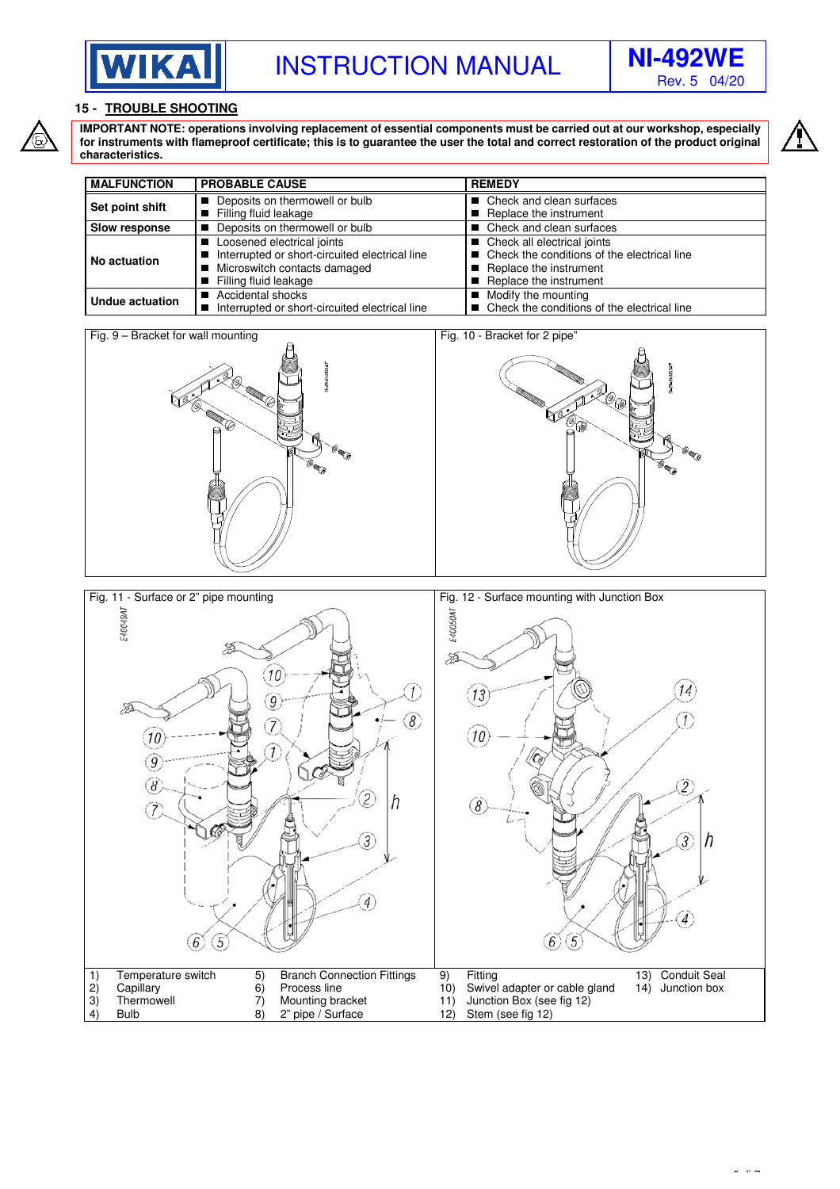



## **15 - TROUBLE SHOOTING**

**IMPORTANT NOTE: operations involving replacement of essential components must be carried out at our workshop, especially for instruments with flameproof certificate; this is to guarantee the user the total and correct restoration of the product original characteristics.** 

| <b>MALFUNCTION</b> | <b>PROBABLE CAUSE</b>                                                                                                                 | <b>REMEDY</b>                                                                                                                      |
|--------------------|---------------------------------------------------------------------------------------------------------------------------------------|------------------------------------------------------------------------------------------------------------------------------------|
| Set point shift    | Deposits on thermowell or bulb<br>Filling fluid leakage                                                                               | ■ Check and clean surfaces<br>Replace the instrument                                                                               |
| Slow response      | Deposits on thermowell or bulb                                                                                                        | ■ Check and clean surfaces                                                                                                         |
| No actuation       | Loosened electrical joints<br>Interrupted or short-circuited electrical line<br>Microswitch contacts damaged<br>Filling fluid leakage | ■ Check all electrical joints<br>■ Check the conditions of the electrical line<br>Replace the instrument<br>Replace the instrument |
| Undue actuation    | Accidental shocks<br>Interrupted or short-circuited electrical line                                                                   | ■ Modify the mounting<br>■ Check the conditions of the electrical line                                                             |